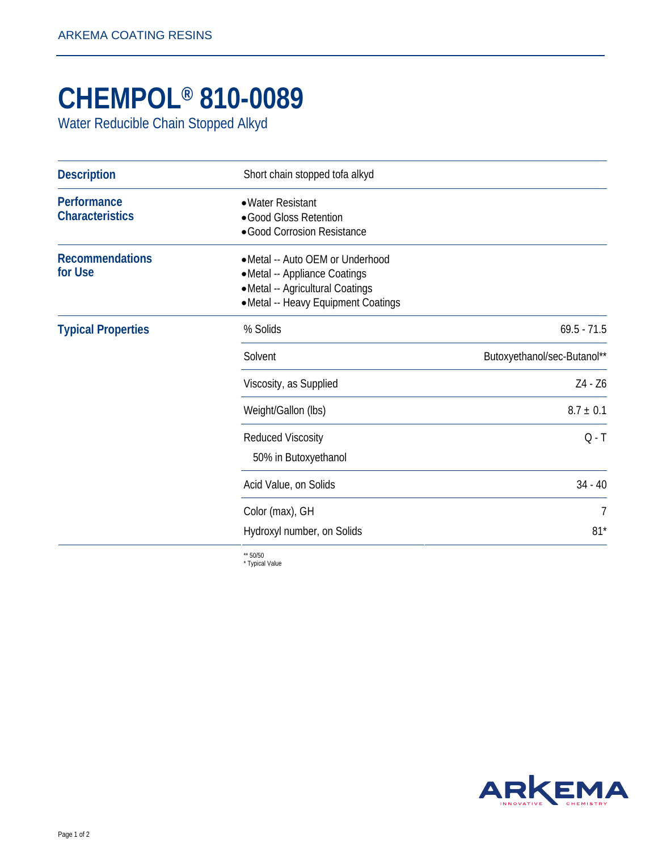## **CHEMPOL® 810-0089**

Water Reducible Chain Stopped Alkyd

| <b>Description</b>                    | Short chain stopped tofa alkyd                                                                                                               |                             |
|---------------------------------------|----------------------------------------------------------------------------------------------------------------------------------------------|-----------------------------|
| Performance<br><b>Characteristics</b> | • Water Resistant<br>·Good Gloss Retention<br>· Good Corrosion Resistance                                                                    |                             |
| <b>Recommendations</b><br>for Use     | • Metal -- Auto OEM or Underhood<br>• Metal -- Appliance Coatings<br>• Metal -- Agricultural Coatings<br>• Metal -- Heavy Equipment Coatings |                             |
| <b>Typical Properties</b>             | % Solids                                                                                                                                     | $69.5 - 71.5$               |
|                                       | Solvent                                                                                                                                      | Butoxyethanol/sec-Butanol** |
|                                       | Viscosity, as Supplied                                                                                                                       | Z4 - Z6                     |
|                                       | Weight/Gallon (lbs)                                                                                                                          | $8.7 \pm 0.1$               |
|                                       | <b>Reduced Viscosity</b><br>50% in Butoxyethanol                                                                                             | $Q - T$                     |
|                                       | Acid Value, on Solids                                                                                                                        | $34 - 40$                   |
|                                       | Color (max), GH                                                                                                                              | $\overline{1}$              |
|                                       | Hydroxyl number, on Solids                                                                                                                   | $81*$                       |

\*\* 50/50 \* Typical Value